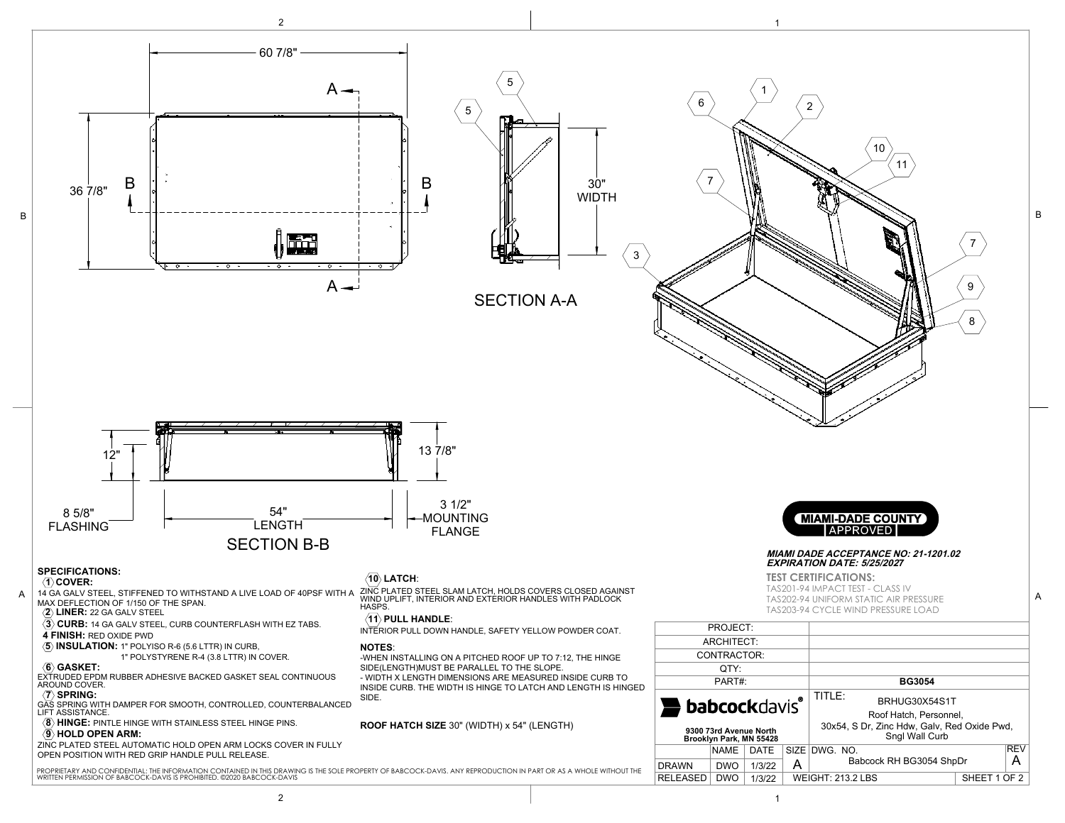